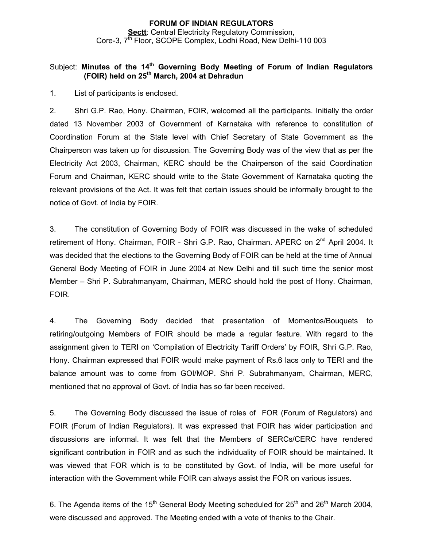## **FORUM OF INDIAN REGULATORS Sectt: Central Electricity Regulatory Commission,** Core-3, 7<sup>th</sup> Floor, SCOPE Complex, Lodhi Road, New Delhi-110 003

### Subject: Minutes of the 14<sup>th</sup> Governing Body Meeting of Forum of Indian Regulators **(FOIR) held on 25th March, 2004 at Dehradun**

1. List of participants is enclosed.

2. Shri G.P. Rao, Hony. Chairman, FOIR, welcomed all the participants. Initially the order dated 13 November 2003 of Government of Karnataka with reference to constitution of Coordination Forum at the State level with Chief Secretary of State Government as the Chairperson was taken up for discussion. The Governing Body was of the view that as per the Electricity Act 2003, Chairman, KERC should be the Chairperson of the said Coordination Forum and Chairman, KERC should write to the State Government of Karnataka quoting the relevant provisions of the Act. It was felt that certain issues should be informally brought to the notice of Govt. of India by FOIR.

3. The constitution of Governing Body of FOIR was discussed in the wake of scheduled retirement of Hony. Chairman, FOIR - Shri G.P. Rao, Chairman. APERC on 2<sup>nd</sup> April 2004. It was decided that the elections to the Governing Body of FOIR can be held at the time of Annual General Body Meeting of FOIR in June 2004 at New Delhi and till such time the senior most Member – Shri P. Subrahmanyam, Chairman, MERC should hold the post of Hony. Chairman, FOIR.

4. The Governing Body decided that presentation of Momentos/Bouquets to retiring/outgoing Members of FOIR should be made a regular feature. With regard to the assignment given to TERI on 'Compilation of Electricity Tariff Orders' by FOIR, Shri G.P. Rao, Hony. Chairman expressed that FOIR would make payment of Rs.6 lacs only to TERI and the balance amount was to come from GOI/MOP. Shri P. Subrahmanyam, Chairman, MERC, mentioned that no approval of Govt. of India has so far been received.

5. The Governing Body discussed the issue of roles of FOR (Forum of Regulators) and FOIR (Forum of Indian Regulators). It was expressed that FOIR has wider participation and discussions are informal. It was felt that the Members of SERCs/CERC have rendered significant contribution in FOIR and as such the individuality of FOIR should be maintained. It was viewed that FOR which is to be constituted by Govt. of India, will be more useful for interaction with the Government while FOIR can always assist the FOR on various issues.

6. The Agenda items of the 15<sup>th</sup> General Body Meeting scheduled for 25<sup>th</sup> and 26<sup>th</sup> March 2004, were discussed and approved. The Meeting ended with a vote of thanks to the Chair.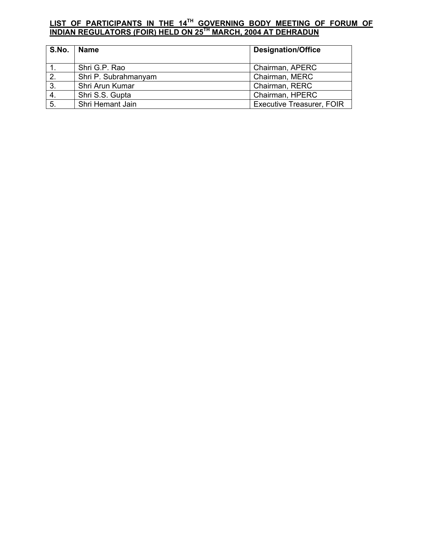# **LIST OF PARTICIPANTS IN THE 14TH GOVERNING BODY MEETING OF FORUM OF INDIAN REGULATORS (FOIR) HELD ON 25TH MARCH, 2004 AT DEHRADUN**

| S.No. | Name                 | <b>Designation/Office</b>        |
|-------|----------------------|----------------------------------|
|       | Shri G.P. Rao        | Chairman, APERC                  |
| 2.    | Shri P. Subrahmanyam | Chairman, MERC                   |
| 3.    | Shri Arun Kumar      | Chairman, RERC                   |
| 4.    | Shri S.S. Gupta      | Chairman, HPERC                  |
| 5.    | Shri Hemant Jain     | <b>Executive Treasurer, FOIR</b> |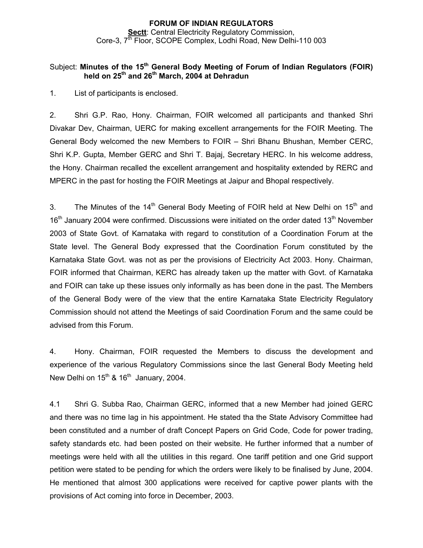### **FORUM OF INDIAN REGULATORS Sectt**: Central Electricity Regulatory Commission, Core-3, 7<sup>th</sup> Floor, SCOPE Complex, Lodhi Road, New Delhi-110 003

### Subject: **Minutes of the 15th General Body Meeting of Forum of Indian Regulators (FOIR) held on 25th and 26th March, 2004 at Dehradun**

1. List of participants is enclosed.

2. Shri G.P. Rao, Hony. Chairman, FOIR welcomed all participants and thanked Shri Divakar Dev, Chairman, UERC for making excellent arrangements for the FOIR Meeting. The General Body welcomed the new Members to FOIR – Shri Bhanu Bhushan, Member CERC, Shri K.P. Gupta, Member GERC and Shri T. Bajaj, Secretary HERC. In his welcome address, the Hony. Chairman recalled the excellent arrangement and hospitality extended by RERC and MPERC in the past for hosting the FOIR Meetings at Jaipur and Bhopal respectively.

3. The Minutes of the  $14<sup>th</sup>$  General Body Meeting of FOIR held at New Delhi on  $15<sup>th</sup>$  and 16<sup>th</sup> January 2004 were confirmed. Discussions were initiated on the order dated 13<sup>th</sup> November 2003 of State Govt. of Karnataka with regard to constitution of a Coordination Forum at the State level. The General Body expressed that the Coordination Forum constituted by the Karnataka State Govt. was not as per the provisions of Electricity Act 2003. Hony. Chairman, FOIR informed that Chairman, KERC has already taken up the matter with Govt. of Karnataka and FOIR can take up these issues only informally as has been done in the past. The Members of the General Body were of the view that the entire Karnataka State Electricity Regulatory Commission should not attend the Meetings of said Coordination Forum and the same could be advised from this Forum.

4. Hony. Chairman, FOIR requested the Members to discuss the development and experience of the various Regulatory Commissions since the last General Body Meeting held New Delhi on  $15<sup>th</sup>$  &  $16<sup>th</sup>$  January, 2004.

4.1 Shri G. Subba Rao, Chairman GERC, informed that a new Member had joined GERC and there was no time lag in his appointment. He stated tha the State Advisory Committee had been constituted and a number of draft Concept Papers on Grid Code, Code for power trading, safety standards etc. had been posted on their website. He further informed that a number of meetings were held with all the utilities in this regard. One tariff petition and one Grid support petition were stated to be pending for which the orders were likely to be finalised by June, 2004. He mentioned that almost 300 applications were received for captive power plants with the provisions of Act coming into force in December, 2003.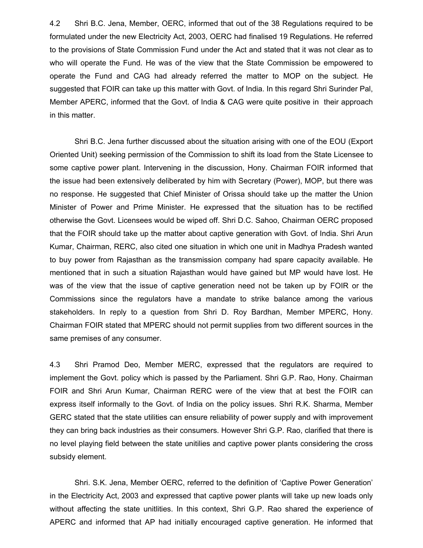4.2 Shri B.C. Jena, Member, OERC, informed that out of the 38 Regulations required to be formulated under the new Electricity Act, 2003, OERC had finalised 19 Regulations. He referred to the provisions of State Commission Fund under the Act and stated that it was not clear as to who will operate the Fund. He was of the view that the State Commission be empowered to operate the Fund and CAG had already referred the matter to MOP on the subject. He suggested that FOIR can take up this matter with Govt. of India. In this regard Shri Surinder Pal, Member APERC, informed that the Govt. of India & CAG were quite positive in their approach in this matter.

 Shri B.C. Jena further discussed about the situation arising with one of the EOU (Export Oriented Unit) seeking permission of the Commission to shift its load from the State Licensee to some captive power plant. Intervening in the discussion, Hony. Chairman FOIR informed that the issue had been extensively deliberated by him with Secretary (Power), MOP, but there was no response. He suggested that Chief Minister of Orissa should take up the matter the Union Minister of Power and Prime Minister. He expressed that the situation has to be rectified otherwise the Govt. Licensees would be wiped off. Shri D.C. Sahoo, Chairman OERC proposed that the FOIR should take up the matter about captive generation with Govt. of India. Shri Arun Kumar, Chairman, RERC, also cited one situation in which one unit in Madhya Pradesh wanted to buy power from Rajasthan as the transmission company had spare capacity available. He mentioned that in such a situation Rajasthan would have gained but MP would have lost. He was of the view that the issue of captive generation need not be taken up by FOIR or the Commissions since the regulators have a mandate to strike balance among the various stakeholders. In reply to a question from Shri D. Roy Bardhan, Member MPERC, Hony. Chairman FOIR stated that MPERC should not permit supplies from two different sources in the same premises of any consumer.

4.3 Shri Pramod Deo, Member MERC, expressed that the regulators are required to implement the Govt. policy which is passed by the Parliament. Shri G.P. Rao, Hony. Chairman FOIR and Shri Arun Kumar, Chairman RERC were of the view that at best the FOIR can express itself informally to the Govt. of India on the policy issues. Shri R.K. Sharma, Member GERC stated that the state utilities can ensure reliability of power supply and with improvement they can bring back industries as their consumers. However Shri G.P. Rao, clarified that there is no level playing field between the state unitilies and captive power plants considering the cross subsidy element.

 Shri. S.K. Jena, Member OERC, referred to the definition of 'Captive Power Generation' in the Electricity Act, 2003 and expressed that captive power plants will take up new loads only without affecting the state unitlities. In this context, Shri G.P. Rao shared the experience of APERC and informed that AP had initially encouraged captive generation. He informed that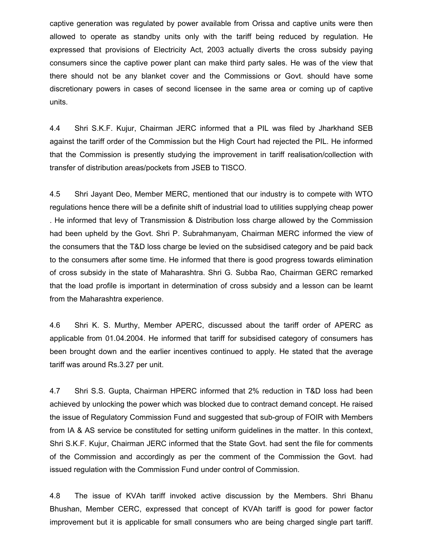captive generation was regulated by power available from Orissa and captive units were then allowed to operate as standby units only with the tariff being reduced by regulation. He expressed that provisions of Electricity Act, 2003 actually diverts the cross subsidy paying consumers since the captive power plant can make third party sales. He was of the view that there should not be any blanket cover and the Commissions or Govt. should have some discretionary powers in cases of second licensee in the same area or coming up of captive units.

4.4 Shri S.K.F. Kujur, Chairman JERC informed that a PIL was filed by Jharkhand SEB against the tariff order of the Commission but the High Court had rejected the PIL. He informed that the Commission is presently studying the improvement in tariff realisation/collection with transfer of distribution areas/pockets from JSEB to TISCO.

4.5 Shri Jayant Deo, Member MERC, mentioned that our industry is to compete with WTO regulations hence there will be a definite shift of industrial load to utilities supplying cheap power . He informed that levy of Transmission & Distribution loss charge allowed by the Commission had been upheld by the Govt. Shri P. Subrahmanyam, Chairman MERC informed the view of the consumers that the T&D loss charge be levied on the subsidised category and be paid back to the consumers after some time. He informed that there is good progress towards elimination of cross subsidy in the state of Maharashtra. Shri G. Subba Rao, Chairman GERC remarked that the load profile is important in determination of cross subsidy and a lesson can be learnt from the Maharashtra experience.

4.6 Shri K. S. Murthy, Member APERC, discussed about the tariff order of APERC as applicable from 01.04.2004. He informed that tariff for subsidised category of consumers has been brought down and the earlier incentives continued to apply. He stated that the average tariff was around Rs.3.27 per unit.

4.7 Shri S.S. Gupta, Chairman HPERC informed that 2% reduction in T&D loss had been achieved by unlocking the power which was blocked due to contract demand concept. He raised the issue of Regulatory Commission Fund and suggested that sub-group of FOIR with Members from IA & AS service be constituted for setting uniform guidelines in the matter. In this context, Shri S.K.F. Kujur, Chairman JERC informed that the State Govt. had sent the file for comments of the Commission and accordingly as per the comment of the Commission the Govt. had issued regulation with the Commission Fund under control of Commission.

4.8 The issue of KVAh tariff invoked active discussion by the Members. Shri Bhanu Bhushan, Member CERC, expressed that concept of KVAh tariff is good for power factor improvement but it is applicable for small consumers who are being charged single part tariff.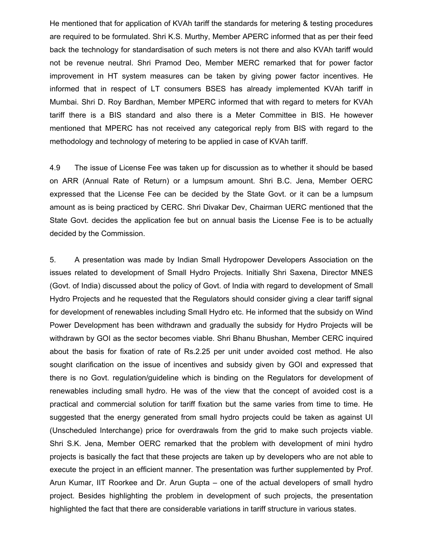He mentioned that for application of KVAh tariff the standards for metering & testing procedures are required to be formulated. Shri K.S. Murthy, Member APERC informed that as per their feed back the technology for standardisation of such meters is not there and also KVAh tariff would not be revenue neutral. Shri Pramod Deo, Member MERC remarked that for power factor improvement in HT system measures can be taken by giving power factor incentives. He informed that in respect of LT consumers BSES has already implemented KVAh tariff in Mumbai. Shri D. Roy Bardhan, Member MPERC informed that with regard to meters for KVAh tariff there is a BIS standard and also there is a Meter Committee in BIS. He however mentioned that MPERC has not received any categorical reply from BIS with regard to the methodology and technology of metering to be applied in case of KVAh tariff.

4.9 The issue of License Fee was taken up for discussion as to whether it should be based on ARR (Annual Rate of Return) or a lumpsum amount. Shri B.C. Jena, Member OERC expressed that the License Fee can be decided by the State Govt. or it can be a lumpsum amount as is being practiced by CERC. Shri Divakar Dev, Chairman UERC mentioned that the State Govt. decides the application fee but on annual basis the License Fee is to be actually decided by the Commission.

5. A presentation was made by Indian Small Hydropower Developers Association on the issues related to development of Small Hydro Projects. Initially Shri Saxena, Director MNES (Govt. of India) discussed about the policy of Govt. of India with regard to development of Small Hydro Projects and he requested that the Regulators should consider giving a clear tariff signal for development of renewables including Small Hydro etc. He informed that the subsidy on Wind Power Development has been withdrawn and gradually the subsidy for Hydro Projects will be withdrawn by GOI as the sector becomes viable. Shri Bhanu Bhushan, Member CERC inquired about the basis for fixation of rate of Rs.2.25 per unit under avoided cost method. He also sought clarification on the issue of incentives and subsidy given by GOI and expressed that there is no Govt. regulation/guideline which is binding on the Regulators for development of renewables including small hydro. He was of the view that the concept of avoided cost is a practical and commercial solution for tariff fixation but the same varies from time to time. He suggested that the energy generated from small hydro projects could be taken as against UI (Unscheduled Interchange) price for overdrawals from the grid to make such projects viable. Shri S.K. Jena, Member OERC remarked that the problem with development of mini hydro projects is basically the fact that these projects are taken up by developers who are not able to execute the project in an efficient manner. The presentation was further supplemented by Prof. Arun Kumar, IIT Roorkee and Dr. Arun Gupta – one of the actual developers of small hydro project. Besides highlighting the problem in development of such projects, the presentation highlighted the fact that there are considerable variations in tariff structure in various states.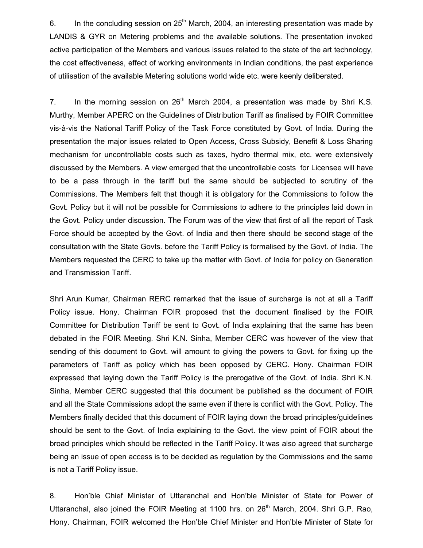6. In the concluding session on  $25<sup>th</sup>$  March, 2004, an interesting presentation was made by LANDIS & GYR on Metering problems and the available solutions. The presentation invoked active participation of the Members and various issues related to the state of the art technology, the cost effectiveness, effect of working environments in Indian conditions, the past experience of utilisation of the available Metering solutions world wide etc. were keenly deliberated.

7. In the morning session on  $26<sup>th</sup>$  March 2004, a presentation was made by Shri K.S. Murthy, Member APERC on the Guidelines of Distribution Tariff as finalised by FOIR Committee vis-à-vis the National Tariff Policy of the Task Force constituted by Govt. of India. During the presentation the major issues related to Open Access, Cross Subsidy, Benefit & Loss Sharing mechanism for uncontrollable costs such as taxes, hydro thermal mix, etc. were extensively discussed by the Members. A view emerged that the uncontrollable costs for Licensee will have to be a pass through in the tariff but the same should be subjected to scrutiny of the Commissions. The Members felt that though it is obligatory for the Commissions to follow the Govt. Policy but it will not be possible for Commissions to adhere to the principles laid down in the Govt. Policy under discussion. The Forum was of the view that first of all the report of Task Force should be accepted by the Govt. of India and then there should be second stage of the consultation with the State Govts. before the Tariff Policy is formalised by the Govt. of India. The Members requested the CERC to take up the matter with Govt. of India for policy on Generation and Transmission Tariff.

Shri Arun Kumar, Chairman RERC remarked that the issue of surcharge is not at all a Tariff Policy issue. Hony. Chairman FOIR proposed that the document finalised by the FOIR Committee for Distribution Tariff be sent to Govt. of India explaining that the same has been debated in the FOIR Meeting. Shri K.N. Sinha, Member CERC was however of the view that sending of this document to Govt. will amount to giving the powers to Govt. for fixing up the parameters of Tariff as policy which has been opposed by CERC. Hony. Chairman FOIR expressed that laying down the Tariff Policy is the prerogative of the Govt. of India. Shri K.N. Sinha, Member CERC suggested that this document be published as the document of FOIR and all the State Commissions adopt the same even if there is conflict with the Govt. Policy. The Members finally decided that this document of FOIR laying down the broad principles/guidelines should be sent to the Govt. of India explaining to the Govt. the view point of FOIR about the broad principles which should be reflected in the Tariff Policy. It was also agreed that surcharge being an issue of open access is to be decided as regulation by the Commissions and the same is not a Tariff Policy issue.

8. Hon'ble Chief Minister of Uttaranchal and Hon'ble Minister of State for Power of Uttaranchal, also joined the FOIR Meeting at 1100 hrs. on  $26<sup>th</sup>$  March, 2004. Shri G.P. Rao, Hony. Chairman, FOIR welcomed the Hon'ble Chief Minister and Hon'ble Minister of State for